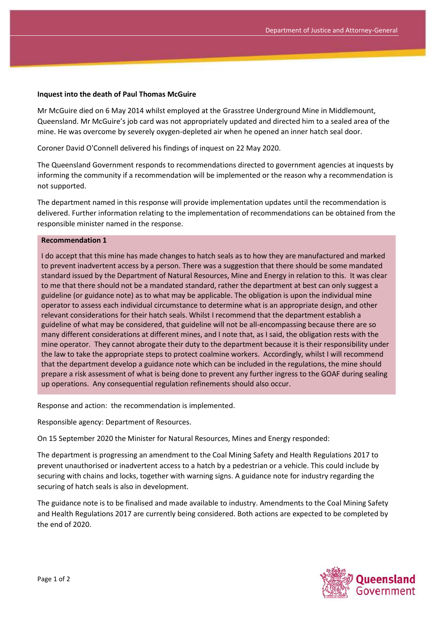## **Inquest into the death of Paul Thomas McGuire**

Mr McGuire died on 6 May 2014 whilst employed at the Grasstree Underground Mine in Middlemount, Queensland. Mr McGuire's job card was not appropriately updated and directed him to a sealed area of the mine. He was overcome by severely oxygen-depleted air when he opened an inner hatch seal door.

Coroner David O'Connell delivered his findings of inquest on 22 May 2020.

The Queensland Government responds to recommendations directed to government agencies at inquests by informing the community if a recommendation will be implemented or the reason why a recommendation is not supported.

The department named in this response will provide implementation updates until the recommendation is delivered. Further information relating to the implementation of recommendations can be obtained from the responsible minister named in the response.

## **Recommendation 1**

I do accept that this mine has made changes to hatch seals as to how they are manufactured and marked to prevent inadvertent access by a person. There was a suggestion that there should be some mandated standard issued by the Department of Natural Resources, Mine and Energy in relation to this. It was clear to me that there should not be a mandated standard, rather the department at best can only suggest a guideline (or guidance note) as to what may be applicable. The obligation is upon the individual mine operator to assess each individual circumstance to determine what is an appropriate design, and other relevant considerations for their hatch seals. Whilst I recommend that the department establish a guideline of what may be considered, that guideline will not be all-encompassing because there are so many different considerations at different mines, and I note that, as I said, the obligation rests with the mine operator. They cannot abrogate their duty to the department because it is their responsibility under the law to take the appropriate steps to protect coalmine workers. Accordingly, whilst I will recommend that the department develop a guidance note which can be included in the regulations, the mine should prepare a risk assessment of what is being done to prevent any further ingress to the GOAF during sealing up operations. Any consequential regulation refinements should also occur.

Response and action: the recommendation is implemented.

Responsible agency: Department of Resources.

On 15 September 2020 the Minister for Natural Resources, Mines and Energy responded:

The department is progressing an amendment to the Coal Mining Safety and Health Regulations 2017 to prevent unauthorised or inadvertent access to a hatch by a pedestrian or a vehicle. This could include by securing with chains and locks, together with warning signs. A guidance note for industry regarding the securing of hatch seals is also in development.

The guidance note is to be finalised and made available to industry. Amendments to the Coal Mining Safety and Health Regulations 2017 are currently being considered. Both actions are expected to be completed by the end of 2020.